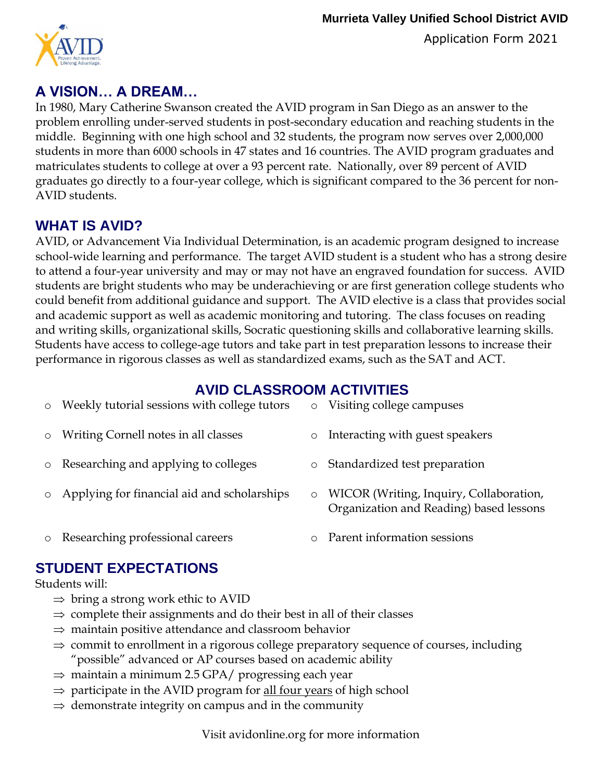Application Form 2021



# **A VISION… A DREAM…**

 matriculates students to college at over a 93 percent rate. Nationally, over 89 percent of AVID In 1980, Mary Catherine Swanson created the AVID program in San Diego as an answer to the problem enrolling under-served students in post-secondary education and reaching students in the middle. Beginning with one high school and 32 students, the program now serves over 2,000,000 students in more than 6000 schools in 47 states and 16 countries. The AVID program graduates and graduates go directly to a four-year college, which is significant compared to the 36 percent for non-AVID students.

## **WHAT IS AVID?**

AVID, or Advancement Via Individual Determination, is an academic program designed to increase school-wide learning and performance. The target AVID student is a student who has a strong desire to attend a four-year university and may or may not have an engraved foundation for success. AVID students are bright students who may be underachieving or are first generation college students who could benefit from additional guidance and support. The AVID elective is a class that provides social and academic support as well as academic monitoring and tutoring. The class focuses on reading and writing skills, organizational skills, Socratic questioning skills and collaborative learning skills. Students have access to college-age tutors and take part in test preparation lessons to increase their performance in rigorous classes as well as standardized exams, such as the SAT and ACT.

## **AVID CLASSROOM ACTIVITIES**

| o Weekly tutorial sessions with college tutors | $\circ$ | Visiting college campuses                                                          |
|------------------------------------------------|---------|------------------------------------------------------------------------------------|
| o Writing Cornell notes in all classes         | $\circ$ | Interacting with guest speakers                                                    |
| o Researching and applying to colleges         | $\circ$ | Standardized test preparation                                                      |
| o Applying for financial aid and scholarships  | $\circ$ | WICOR (Writing, Inquiry, Collaboration,<br>Organization and Reading) based lessons |
| o Researching professional careers             |         | Parent information sessions                                                        |

# **STUDENT EXPECTATIONS**

Students will:

- $\Rightarrow$  bring a strong work ethic to AVID
- $\Rightarrow$  complete their assignments and do their best in all of their classes
- $\Rightarrow$  maintain positive attendance and classroom behavior
- "possible" advanced or AP courses based on academic ability  $\Rightarrow$  commit to enrollment in a rigorous college preparatory sequence of courses, including
- $\Rightarrow$  maintain a minimum 2.5 GPA/ progressing each year
- $\Rightarrow$  participate in the AVID program for all four years of high school
- $\Rightarrow$  demonstrate integrity on campus and in the community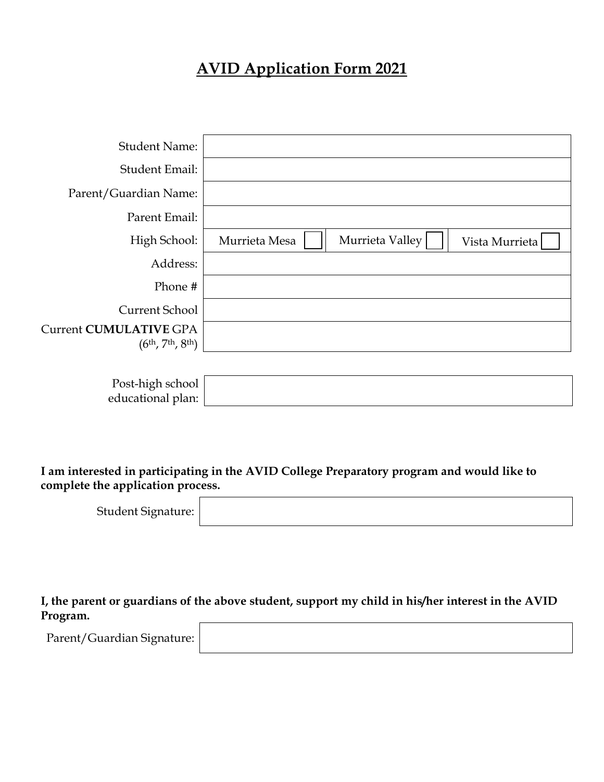# **AVID Application Form 2021**

| <b>Student Name:</b>                                 |               |                 |                |
|------------------------------------------------------|---------------|-----------------|----------------|
| Student Email:                                       |               |                 |                |
| Parent/Guardian Name:                                |               |                 |                |
| Parent Email:                                        |               |                 |                |
| High School:                                         | Murrieta Mesa | Murrieta Valley | Vista Murrieta |
| Address:                                             |               |                 |                |
| Phone #                                              |               |                 |                |
| <b>Current School</b>                                |               |                 |                |
| Current CUMULATIVE GPA<br>$(6^{th}, 7^{th}, 8^{th})$ |               |                 |                |
|                                                      |               |                 |                |

| Post-high school  |  |
|-------------------|--|
| educational plan: |  |

## **I am interested in participating in the AVID College Preparatory program and would like to complete the application process.**

| Student Signature: |  |  |  |
|--------------------|--|--|--|
|--------------------|--|--|--|

**I, the parent or guardians of the above student, support my child in his/her interest in the AVID Program.** 

Parent/Guardian Signature: